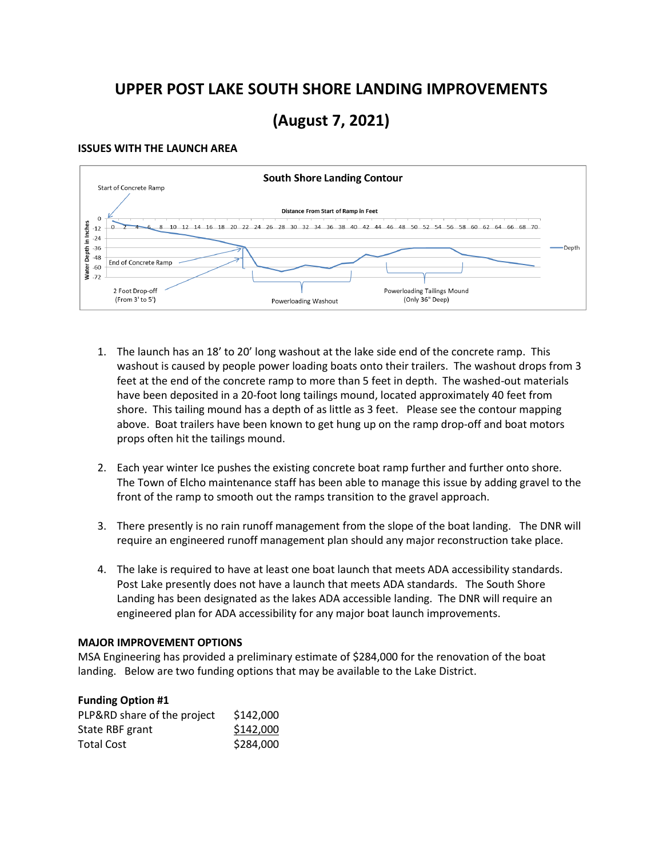## **UPPER POST LAKE SOUTH SHORE LANDING IMPROVEMENTS**

# **(August 7, 2021)**

## **ISSUES WITH THE LAUNCH AREA**



- 1. The launch has an 18' to 20' long washout at the lake side end of the concrete ramp. This washout is caused by people power loading boats onto their trailers. The washout drops from 3 feet at the end of the concrete ramp to more than 5 feet in depth. The washed-out materials have been deposited in a 20-foot long tailings mound, located approximately 40 feet from shore. This tailing mound has a depth of as little as 3 feet. Please see the contour mapping above. Boat trailers have been known to get hung up on the ramp drop-off and boat motors props often hit the tailings mound.
- 2. Each year winter Ice pushes the existing concrete boat ramp further and further onto shore. The Town of Elcho maintenance staff has been able to manage this issue by adding gravel to the front of the ramp to smooth out the ramps transition to the gravel approach.
- 3. There presently is no rain runoff management from the slope of the boat landing. The DNR will require an engineered runoff management plan should any major reconstruction take place.
- 4. The lake is required to have at least one boat launch that meets ADA accessibility standards. Post Lake presently does not have a launch that meets ADA standards. The South Shore Landing has been designated as the lakes ADA accessible landing. The DNR will require an engineered plan for ADA accessibility for any major boat launch improvements.

#### **MAJOR IMPROVEMENT OPTIONS**

MSA Engineering has provided a preliminary estimate of \$284,000 for the renovation of the boat landing. Below are two funding options that may be available to the Lake District.

| <b>Funding Option #1</b>    |           |
|-----------------------------|-----------|
| PLP&RD share of the project | \$142,000 |
| State RBF grant             | \$142,000 |
| <b>Total Cost</b>           | \$284,000 |